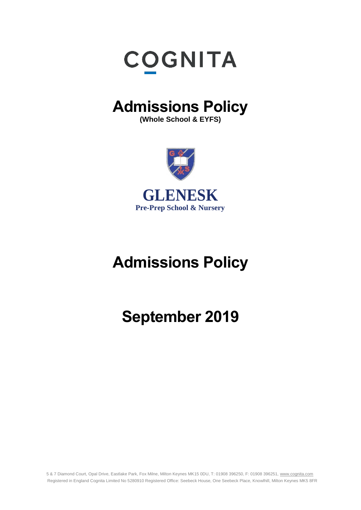

# **Admissions Policy**

**(Whole School & EYFS)**



# **Admissions Policy**

# **September 2019**

5 & 7 Diamond Court, Opal Drive, Eastlake Park, Fox Milne, Milton Keynes MK15 0DU, T: 01908 396250, F: 01908 396251, [www.cognita.com](http://www.cognita.com/) Registered in England Cognita Limited No 5280910 Registered Office: Seebeck House, One Seebeck Place, Knowlhill, Milton Keynes MK5 8FR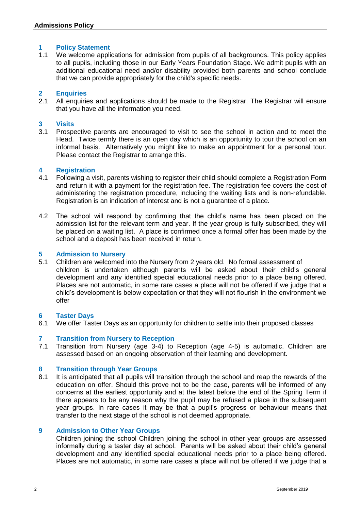# **1 Policy Statement**

1.1 We welcome applications for admission from pupils of all backgrounds. This policy applies to all pupils, including those in our Early Years Foundation Stage. We admit pupils with an additional educational need and/or disability provided both parents and school conclude that we can provide appropriately for the child's specific needs.

### **2 Enquiries**

2.1 All enquiries and applications should be made to the Registrar. The Registrar will ensure that you have all the information you need.

# **3 Visits**

3.1 Prospective parents are encouraged to visit to see the school in action and to meet the Head. Twice termly there is an open day which is an opportunity to tour the school on an informal basis. Alternatively you might like to make an appointment for a personal tour. Please contact the Registrar to arrange this.

# **4 Registration**

- 4.1 Following a visit, parents wishing to register their child should complete a Registration Form and return it with a payment for the registration fee. The registration fee covers the cost of administering the registration procedure, including the waiting lists and is non-refundable. Registration is an indication of interest and is not a guarantee of a place.
- 4.2 The school will respond by confirming that the child's name has been placed on the admission list for the relevant term and year. If the year group is fully subscribed, they will be placed on a waiting list. A place is confirmed once a formal offer has been made by the school and a deposit has been received in return.

### **5 Admission to Nursery**

5.1 Children are welcomed into the Nursery from 2 years old. No formal assessment of children is undertaken although parents will be asked about their child's general development and any identified special educational needs prior to a place being offered. Places are not automatic, in some rare cases a place will not be offered if we judge that a child's development is below expectation or that they will not flourish in the environment we offer

#### **6 Taster Days**

6.1 We offer Taster Days as an opportunity for children to settle into their proposed classes

#### **7 Transition from Nursery to Reception**

7.1 Transition from Nursery (age 3-4) to Reception (age 4-5) is automatic. Children are assessed based on an ongoing observation of their learning and development.

#### **8 Transition through Year Groups**

8.1 It is anticipated that all pupils will transition through the school and reap the rewards of the education on offer. Should this prove not to be the case, parents will be informed of any concerns at the earliest opportunity and at the latest before the end of the Spring Term if there appears to be any reason why the pupil may be refused a place in the subsequent year groups. In rare cases it may be that a pupil's progress or behaviour means that transfer to the next stage of the school is not deemed appropriate.

#### **9 Admission to Other Year Groups**

Children joining the school Children joining the school in other year groups are assessed informally during a taster day at school. Parents will be asked about their child's general development and any identified special educational needs prior to a place being offered. Places are not automatic, in some rare cases a place will not be offered if we judge that a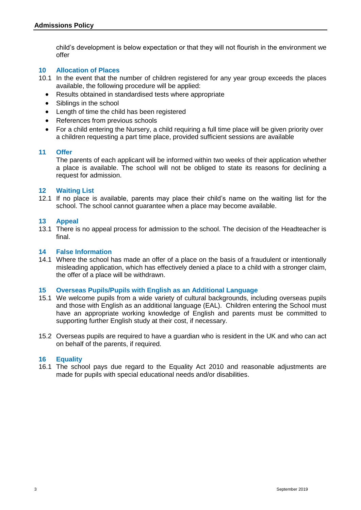child's development is below expectation or that they will not flourish in the environment we offer

# **10 Allocation of Places**

- 10.1 In the event that the number of children registered for any year group exceeds the places available, the following procedure will be applied:
	- Results obtained in standardised tests where appropriate
	- Siblings in the school
	- Length of time the child has been registered
	- References from previous schools
	- For a child entering the Nursery, a child requiring a full time place will be given priority over a children requesting a part time place, provided sufficient sessions are available

#### **11 Offer**

The parents of each applicant will be informed within two weeks of their application whether a place is available. The school will not be obliged to state its reasons for declining a request for admission.

#### **12 Waiting List**

12.1 If no place is available, parents may place their child's name on the waiting list for the school. The school cannot guarantee when a place may become available.

#### **13 Appeal**

13.1 There is no appeal process for admission to the school. The decision of the Headteacher is final.

#### **14 False Information**

14.1 Where the school has made an offer of a place on the basis of a fraudulent or intentionally misleading application, which has effectively denied a place to a child with a stronger claim, the offer of a place will be withdrawn.

#### **15 Overseas Pupils/Pupils with English as an Additional Language**

- 15.1 We welcome pupils from a wide variety of cultural backgrounds, including overseas pupils and those with English as an additional language (EAL). Children entering the School must have an appropriate working knowledge of English and parents must be committed to supporting further English study at their cost, if necessary.
- 15.2 Overseas pupils are required to have a guardian who is resident in the UK and who can act on behalf of the parents, if required.

#### **16 Equality**

16.1 The school pays due regard to the Equality Act 2010 and reasonable adjustments are made for pupils with special educational needs and/or disabilities.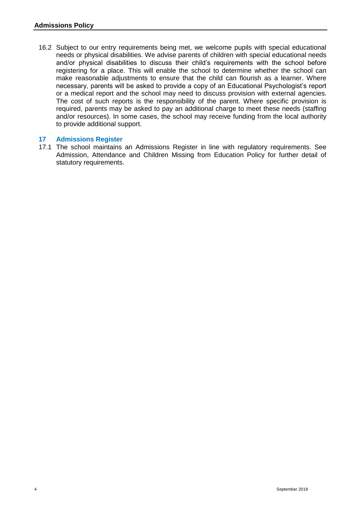16.2 Subject to our entry requirements being met, we welcome pupils with special educational needs or physical disabilities. We advise parents of children with special educational needs and/or physical disabilities to discuss their child's requirements with the school before registering for a place. This will enable the school to determine whether the school can make reasonable adjustments to ensure that the child can flourish as a learner. Where necessary, parents will be asked to provide a copy of an Educational Psychologist's report or a medical report and the school may need to discuss provision with external agencies. The cost of such reports is the responsibility of the parent. Where specific provision is required, parents may be asked to pay an additional charge to meet these needs (staffing and/or resources). In some cases, the school may receive funding from the local authority to provide additional support.

# **17 Admissions Register**

17.1 The school maintains an Admissions Register in line with regulatory requirements. See Admission, Attendance and Children Missing from Education Policy for further detail of statutory requirements.